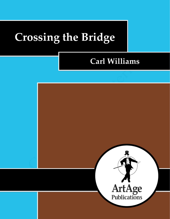# **Crossing the Bridge**

# **Carl Williams**

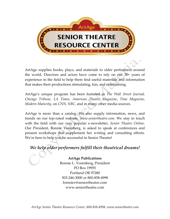

ArtAge supplies books, plays, and materials to older performers around the world. Directors and actors have come to rely on our 30+ years of experience in the field to help them find useful materials and information that makes their productions stimulating, fun, and entertaining.

ArtAge's unique program has been featured in *The Wall Street Journal, Chicago Tribune, LA Times, American Theatre Magazine*, *Time Magazine, Modern Maturity,* on *CNN, NBC,* and in many other media sources.

ArtAge is more than a catalog. We also supply information, news, and trends on our top-rated website, *www.seniortheatre.com*. We stay in touch with the field with our very popular e-newsletter, *Senior Theatre Online*. Our President, Bonnie Vorenberg, is asked to speak at conferences and present workshops that supplement her writing and consulting efforts. We're here to help you be successful in Senior Theatre!

# *We help older performers fulfill their theatrical dreams!*

**ArtAge Publications** Bonnie L. Vorenberg, President PO Box 19955 Portland OR 97280 503-246-3000 or 800-858-4998 bonniev@seniortheatre.com www.seniortheatre.com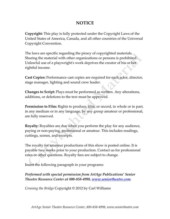## **NOTICE**

**Copyright:** This play is fully protected under the Copyright Laws of the United States of America, Canada, and all other countries of the Universal Copyright Convention.

The laws are specific regarding the piracy of copyrighted materials. Sharing the material with other organizations or persons is prohibited. Unlawful use of a playwright's work deprives the creator of his or her rightful income.

**Cast Copies:** Performance cast copies are required for each actor, director, stage manager, lighting and sound crew leader.

**Changes to Script:** Plays must be performed as written. Any alterations, additions, or deletions to the text must be approved.

**Permission to Film:** Rights to produce, film, or record, in whole or in part, in any medium or in any language, by any group amateur or professional, are fully reserved.

**Royalty:** Royalties are due when you perform the play for any audience, paying or non-paying, professional or amateur. This includes readings, cuttings, scenes, and excerpts.

The royalty for amateur productions of this show is posted online. It is payable two weeks prior to your production. Contact us for professional rates or other questions. Royalty fees are subject to change.

Insert the following paragraph in your programs:

### *Performed with special permission from ArtAge Publications' Senior Theatre Resource Center at 800-858-4998, [www.seniortheatre.com.](http://www.seniortheatre.com/)*

*Crossing the Bridge* Copyright © 2012 by Carl Williams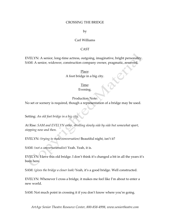#### CROSSING THE BRIDGE

by

#### Carl Williams

#### CAST

EVELYN: A senior, long-time actress, outgoing, imaginative, bright personality. SAM: A senior, widower, construction company owner, pragmatic, reserved.

> Place: A foot bridge in a big city.

#### Time:

Evening.

#### Production Note:

No set or scenery is required, though a representation of a bridge may be used.

Setting: *An old foot bridge in a big city.*

At Rise: *SAM and EVELYN enter, strolling slowly side by side but somewhat apart, stopping now and then.*

EVELYN: *(trying to make conversation)* Beautiful night, isn't it?

SAM: *(not a conversationalist)* Yeah. Yeah, it is.

EVELYN: I love this old bridge. I don't think it's changed a bit in all the years it's been here.

SAM: *(gives the bridge a closer look)* Yeah, it's a good bridge. Well constructed.

EVELYN: Whenever I cross a bridge, it makes me feel like I'm about to enter a new world.

SAM: Not much point in crossing it if you don't know where you're going.

*ArtAge Senior Theatre Resource Center, 800-858-4998, www.seniortheatre.com*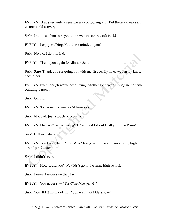EVELYN: That's certainly a sensible way of looking at it. But there's always an element of discovery.

SAM: I suppose. You sure you don't want to catch a cab back?

EVELYN: I enjoy walking. You don't mind, do you?

SAM: No, no. I don't mind.

EVELYN: Thank you again for dinner, Sam.

SAM: Sure. Thank you for going out with me. Especially since we hardly know each other.

EVELYN: Even though we've been living together for a year. Living in the same building, I mean.

SAM: Oh, right.

EVELYN: Someone told me you'd been sick.

SAM: Not bad. Just a touch of pleurisy.

EVELYN: Pleurisy? *(sudden thought)* Pleurosis! I should call you Blue Roses!

SAM: Call me what?

EVELYN: You know, from "*The Glass Menagerie*." I played Laura in my high school production.

SAM: I didn't see it.

EVELYN: How could you? We didn't go to the same high school.

SAM: I mean I never saw the play.

EVELYN: You never saw "*The Glass Menagerie*?!"

SAM: You did it in school, huh? Some kind of kids' show?

*ArtAge Senior Theatre Resource Center, 800-858-4998, www.seniortheatre.com*